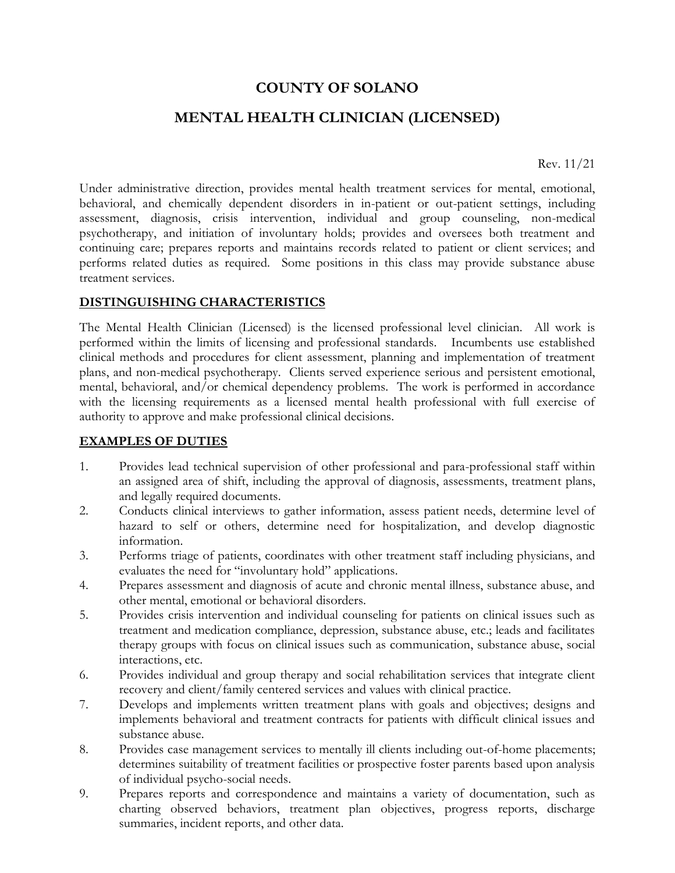# **COUNTY OF SOLANO**

# **MENTAL HEALTH CLINICIAN (LICENSED)**

Rev. 11/21

Under administrative direction, provides mental health treatment services for mental, emotional, behavioral, and chemically dependent disorders in in-patient or out-patient settings, including assessment, diagnosis, crisis intervention, individual and group counseling, non-medical psychotherapy, and initiation of involuntary holds; provides and oversees both treatment and continuing care; prepares reports and maintains records related to patient or client services; and performs related duties as required. Some positions in this class may provide substance abuse treatment services.

#### **DISTINGUISHING CHARACTERISTICS**

The Mental Health Clinician (Licensed) is the licensed professional level clinician. All work is performed within the limits of licensing and professional standards. Incumbents use established clinical methods and procedures for client assessment, planning and implementation of treatment plans, and non-medical psychotherapy. Clients served experience serious and persistent emotional, mental, behavioral, and/or chemical dependency problems. The work is performed in accordance with the licensing requirements as a licensed mental health professional with full exercise of authority to approve and make professional clinical decisions.

#### **EXAMPLES OF DUTIES**

- 1. Provides lead technical supervision of other professional and para-professional staff within an assigned area of shift, including the approval of diagnosis, assessments, treatment plans, and legally required documents.
- 2. Conducts clinical interviews to gather information, assess patient needs, determine level of hazard to self or others, determine need for hospitalization, and develop diagnostic information.
- 3. Performs triage of patients, coordinates with other treatment staff including physicians, and evaluates the need for "involuntary hold" applications.
- 4. Prepares assessment and diagnosis of acute and chronic mental illness, substance abuse, and other mental, emotional or behavioral disorders.
- 5. Provides crisis intervention and individual counseling for patients on clinical issues such as treatment and medication compliance, depression, substance abuse, etc.; leads and facilitates therapy groups with focus on clinical issues such as communication, substance abuse, social interactions, etc.
- 6. Provides individual and group therapy and social rehabilitation services that integrate client recovery and client/family centered services and values with clinical practice.
- 7. Develops and implements written treatment plans with goals and objectives; designs and implements behavioral and treatment contracts for patients with difficult clinical issues and substance abuse.
- 8. Provides case management services to mentally ill clients including out-of-home placements; determines suitability of treatment facilities or prospective foster parents based upon analysis of individual psycho-social needs.
- 9. Prepares reports and correspondence and maintains a variety of documentation, such as charting observed behaviors, treatment plan objectives, progress reports, discharge summaries, incident reports, and other data.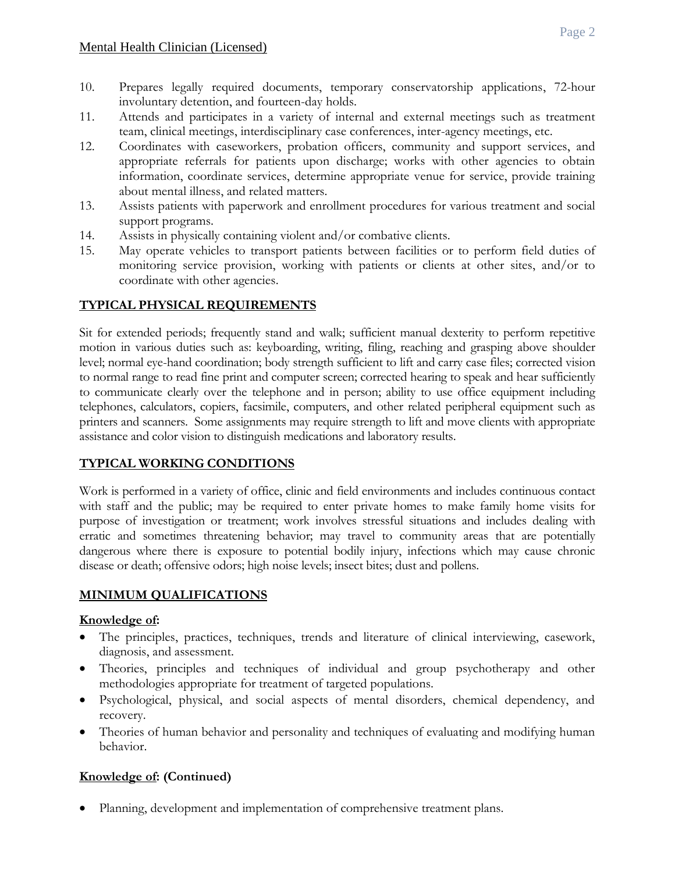- 10. Prepares legally required documents, temporary conservatorship applications, 72-hour involuntary detention, and fourteen-day holds.
- 11. Attends and participates in a variety of internal and external meetings such as treatment team, clinical meetings, interdisciplinary case conferences, inter-agency meetings, etc.
- 12. Coordinates with caseworkers, probation officers, community and support services, and appropriate referrals for patients upon discharge; works with other agencies to obtain information, coordinate services, determine appropriate venue for service, provide training about mental illness, and related matters.
- 13. Assists patients with paperwork and enrollment procedures for various treatment and social support programs.
- 14. Assists in physically containing violent and/or combative clients.
- 15. May operate vehicles to transport patients between facilities or to perform field duties of monitoring service provision, working with patients or clients at other sites, and/or to coordinate with other agencies.

#### **TYPICAL PHYSICAL REQUIREMENTS**

Sit for extended periods; frequently stand and walk; sufficient manual dexterity to perform repetitive motion in various duties such as: keyboarding, writing, filing, reaching and grasping above shoulder level; normal eye-hand coordination; body strength sufficient to lift and carry case files; corrected vision to normal range to read fine print and computer screen; corrected hearing to speak and hear sufficiently to communicate clearly over the telephone and in person; ability to use office equipment including telephones, calculators, copiers, facsimile, computers, and other related peripheral equipment such as printers and scanners. Some assignments may require strength to lift and move clients with appropriate assistance and color vision to distinguish medications and laboratory results.

## **TYPICAL WORKING CONDITIONS**

Work is performed in a variety of office, clinic and field environments and includes continuous contact with staff and the public; may be required to enter private homes to make family home visits for purpose of investigation or treatment; work involves stressful situations and includes dealing with erratic and sometimes threatening behavior; may travel to community areas that are potentially dangerous where there is exposure to potential bodily injury, infections which may cause chronic disease or death; offensive odors; high noise levels; insect bites; dust and pollens.

#### **MINIMUM QUALIFICATIONS**

#### **Knowledge of:**

- The principles, practices, techniques, trends and literature of clinical interviewing, casework, diagnosis, and assessment.
- Theories, principles and techniques of individual and group psychotherapy and other methodologies appropriate for treatment of targeted populations.
- Psychological, physical, and social aspects of mental disorders, chemical dependency, and recovery.
- Theories of human behavior and personality and techniques of evaluating and modifying human behavior.

## **Knowledge of: (Continued)**

• Planning, development and implementation of comprehensive treatment plans.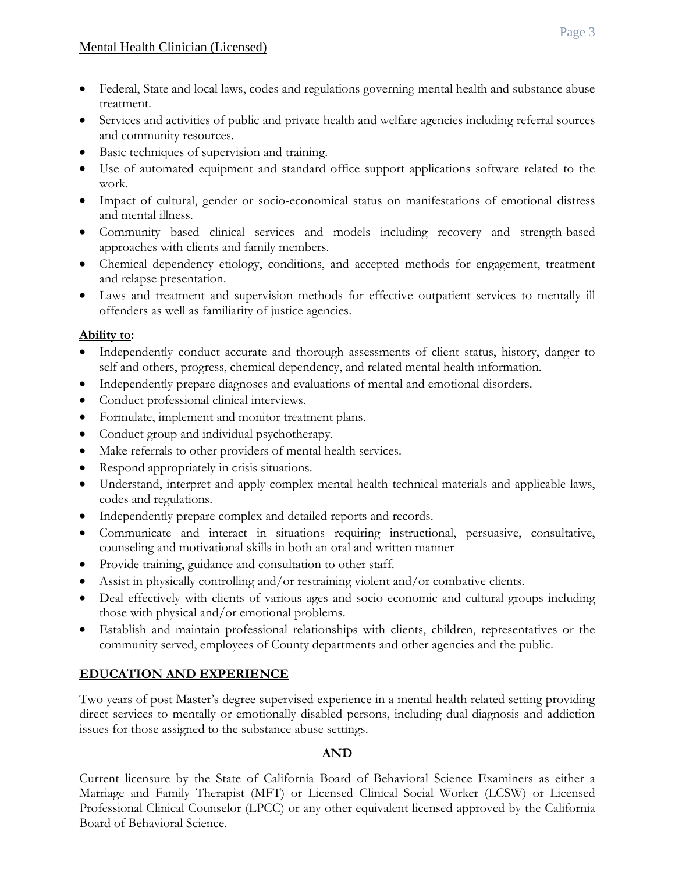- Federal, State and local laws, codes and regulations governing mental health and substance abuse treatment.
- Services and activities of public and private health and welfare agencies including referral sources and community resources.
- Basic techniques of supervision and training.
- Use of automated equipment and standard office support applications software related to the work.
- Impact of cultural, gender or socio-economical status on manifestations of emotional distress and mental illness.
- Community based clinical services and models including recovery and strength-based approaches with clients and family members.
- Chemical dependency etiology, conditions, and accepted methods for engagement, treatment and relapse presentation.
- Laws and treatment and supervision methods for effective outpatient services to mentally ill offenders as well as familiarity of justice agencies.

#### **Ability to:**

- Independently conduct accurate and thorough assessments of client status, history, danger to self and others, progress, chemical dependency, and related mental health information.
- Independently prepare diagnoses and evaluations of mental and emotional disorders.
- Conduct professional clinical interviews.
- Formulate, implement and monitor treatment plans.
- Conduct group and individual psychotherapy.
- Make referrals to other providers of mental health services.
- Respond appropriately in crisis situations.
- Understand, interpret and apply complex mental health technical materials and applicable laws, codes and regulations.
- Independently prepare complex and detailed reports and records.
- Communicate and interact in situations requiring instructional, persuasive, consultative, counseling and motivational skills in both an oral and written manner
- Provide training, guidance and consultation to other staff.
- Assist in physically controlling and/or restraining violent and/or combative clients.
- Deal effectively with clients of various ages and socio-economic and cultural groups including those with physical and/or emotional problems.
- Establish and maintain professional relationships with clients, children, representatives or the community served, employees of County departments and other agencies and the public.

## **EDUCATION AND EXPERIENCE**

Two years of post Master's degree supervised experience in a mental health related setting providing direct services to mentally or emotionally disabled persons, including dual diagnosis and addiction issues for those assigned to the substance abuse settings.

## **AND**

Current licensure by the State of California Board of Behavioral Science Examiners as either a Marriage and Family Therapist (MFT) or Licensed Clinical Social Worker (LCSW) or Licensed Professional Clinical Counselor (LPCC) or any other equivalent licensed approved by the California Board of Behavioral Science.